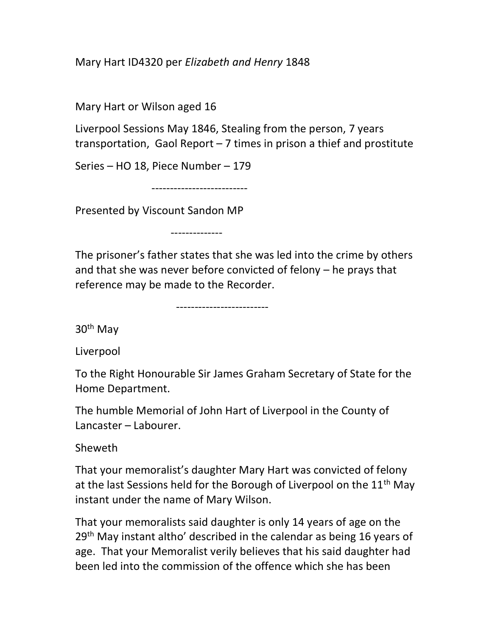## Mary Hart ID4320 per Elizabeth and Henry 1848

Mary Hart or Wilson aged 16

Liverpool Sessions May 1846, Stealing from the person, 7 years transportation, Gaol Report – 7 times in prison a thief and prostitute

Series – HO 18, Piece Number – 179

--------------------------

--------------

Presented by Viscount Sandon MP

The prisoner's father states that she was led into the crime by others and that she was never before convicted of felony – he prays that reference may be made to the Recorder.

-------------------------

30th May

Liverpool

To the Right Honourable Sir James Graham Secretary of State for the Home Department.

The humble Memorial of John Hart of Liverpool in the County of Lancaster – Labourer.

Sheweth

That your memoralist's daughter Mary Hart was convicted of felony at the last Sessions held for the Borough of Liverpool on the  $11<sup>th</sup>$  May instant under the name of Mary Wilson.

That your memoralists said daughter is only 14 years of age on the 29<sup>th</sup> May instant altho' described in the calendar as being 16 years of age. That your Memoralist verily believes that his said daughter had been led into the commission of the offence which she has been